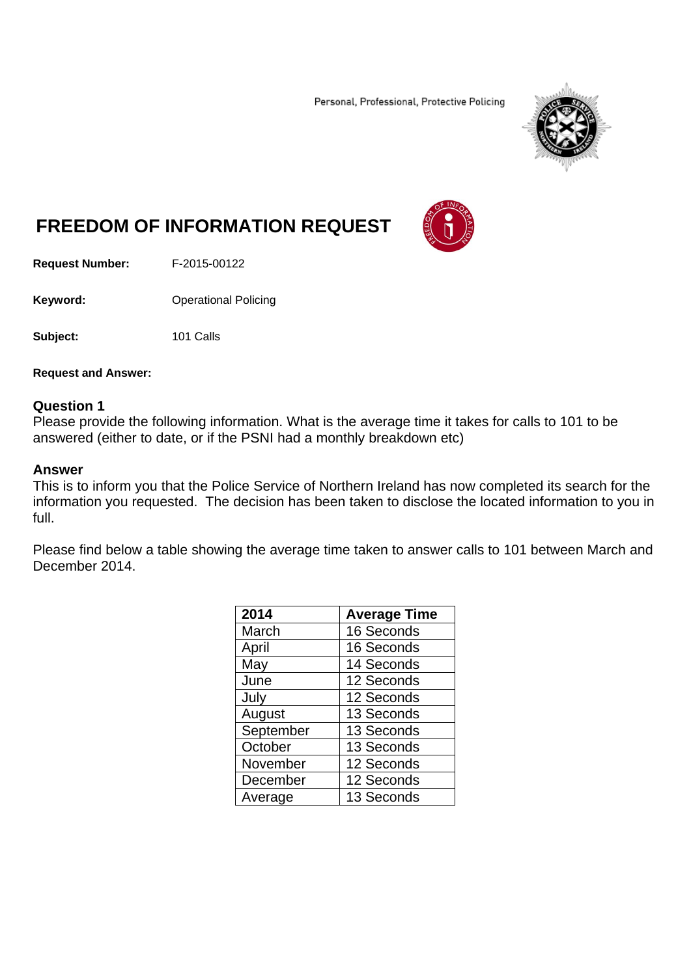Personal, Professional, Protective Policing



# **FREEDOM OF INFORMATION REQUEST**

**Request Number:** F-2015-00122

**Keyword: Operational Policing** 

**Subject:** 101 Calls

**Request and Answer:** 

#### **Question 1**

Please provide the following information. What is the average time it takes for calls to 101 to be answered (either to date, or if the PSNI had a monthly breakdown etc)

#### **Answer**

This is to inform you that the Police Service of Northern Ireland has now completed its search for the information you requested. The decision has been taken to disclose the located information to you in full.

Please find below a table showing the average time taken to answer calls to 101 between March and December 2014.

| 2014      | <b>Average Time</b> |
|-----------|---------------------|
| March     | 16 Seconds          |
| April     | 16 Seconds          |
| May       | 14 Seconds          |
| June      | 12 Seconds          |
| July      | 12 Seconds          |
| August    | 13 Seconds          |
| September | 13 Seconds          |
| October   | 13 Seconds          |
| November  | 12 Seconds          |
| December  | 12 Seconds          |
| Average   | 13 Seconds          |